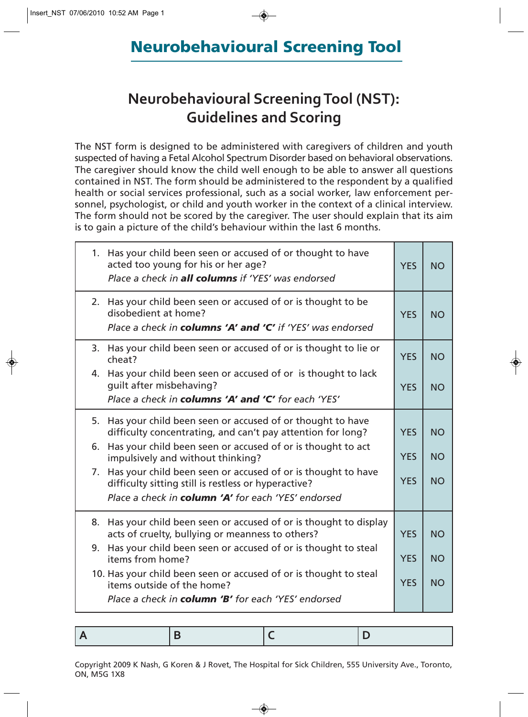## Neurobehavioural Screening Tool

## **Neurobehavioural Screening Tool (NST): Guidelines and Scoring**

The NST form is designed to be administered with caregivers of children and youth suspected of having a Fetal Alcohol Spectrum Disorder based on behavioral observations. The caregiver should know the child well enough to be able to answer all questions contained in NST. The form should be administered to the respondent by a qualified health or social services professional, such as a social worker, law enforcement personnel, psychologist, or child and youth worker in the context of a clinical interview. The form should not be scored by the caregiver. The user should explain that its aim is to gain a picture of the child's behaviour within the last 6 months.

| 1. Has your child been seen or accused of or thought to have<br>acted too young for his or her age?<br>Place a check in <b>all columns</b> if 'YES' was endorsed               | <b>YES</b> | <b>NO</b> |
|--------------------------------------------------------------------------------------------------------------------------------------------------------------------------------|------------|-----------|
| 2. Has your child been seen or accused of or is thought to be<br>disobedient at home?<br>Place a check in <b>columns 'A' and 'C'</b> if 'YES' was endorsed                     | <b>YES</b> | <b>NO</b> |
| 3. Has your child been seen or accused of or is thought to lie or<br>cheat?                                                                                                    | <b>YES</b> | <b>NO</b> |
| 4. Has your child been seen or accused of or is thought to lack<br>quilt after misbehaving?<br>Place a check in columns 'A' and 'C' for each 'YES'                             | <b>YES</b> | <b>NO</b> |
| 5. Has your child been seen or accused of or thought to have<br>difficulty concentrating, and can't pay attention for long?                                                    | <b>YES</b> | <b>NO</b> |
| Has your child been seen or accused of or is thought to act<br>6.<br>impulsively and without thinking?                                                                         | <b>YES</b> | <b>NO</b> |
| 7. Has your child been seen or accused of or is thought to have<br>difficulty sitting still is restless or hyperactive?<br>Place a check in column 'A' for each 'YES' endorsed | <b>YES</b> | <b>NO</b> |
| 8. Has your child been seen or accused of or is thought to display<br>acts of cruelty, bullying or meanness to others?                                                         | <b>YES</b> | <b>NO</b> |
| Has your child been seen or accused of or is thought to steal<br>9.<br>items from home?                                                                                        | <b>YES</b> | <b>NO</b> |
| 10. Has your child been seen or accused of or is thought to steal<br>items outside of the home?                                                                                | <b>YES</b> | <b>NO</b> |
| Place a check in <b>column 'B'</b> for each 'YES' endorsed                                                                                                                     |            |           |

Copyright 2009 K Nash, G Koren & J Rovet, The Hospital for Sick Children, 555 University Ave., Toronto, ON, M5G 1X8